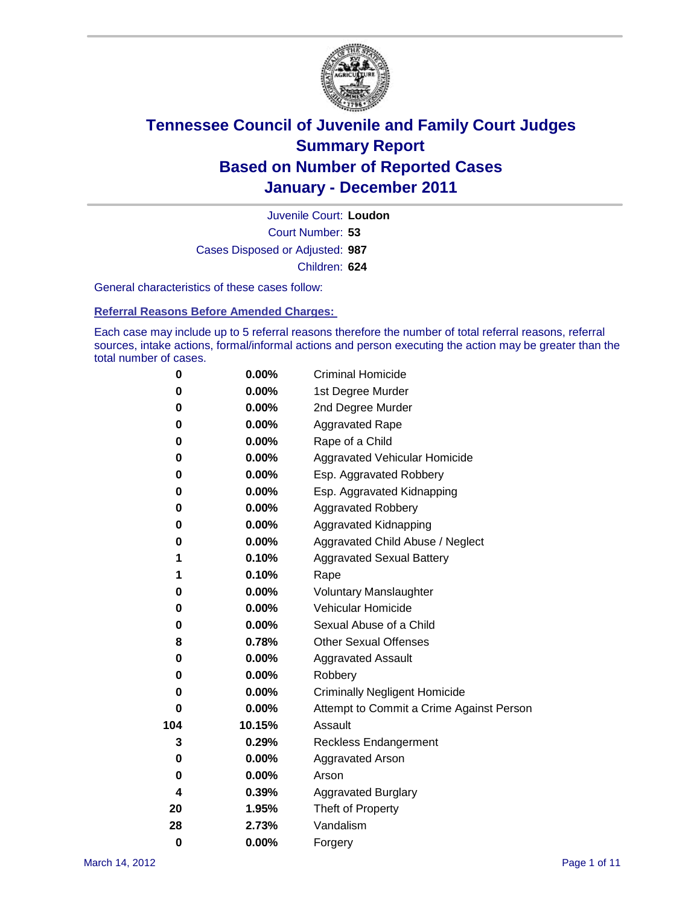

Court Number: **53** Juvenile Court: **Loudon** Cases Disposed or Adjusted: **987** Children: **624**

General characteristics of these cases follow:

**Referral Reasons Before Amended Charges:** 

Each case may include up to 5 referral reasons therefore the number of total referral reasons, referral sources, intake actions, formal/informal actions and person executing the action may be greater than the total number of cases.

| 0        | 0.00%    | <b>Criminal Homicide</b>                 |  |  |
|----------|----------|------------------------------------------|--|--|
| 0        | 0.00%    | 1st Degree Murder                        |  |  |
| 0        | $0.00\%$ | 2nd Degree Murder                        |  |  |
| 0        | $0.00\%$ | <b>Aggravated Rape</b>                   |  |  |
| 0        | 0.00%    | Rape of a Child                          |  |  |
| 0        | 0.00%    | Aggravated Vehicular Homicide            |  |  |
| 0        | 0.00%    | Esp. Aggravated Robbery                  |  |  |
| 0        | $0.00\%$ | Esp. Aggravated Kidnapping               |  |  |
| 0        | $0.00\%$ | <b>Aggravated Robbery</b>                |  |  |
| 0        | $0.00\%$ | Aggravated Kidnapping                    |  |  |
| 0        | 0.00%    | Aggravated Child Abuse / Neglect         |  |  |
| 1        | 0.10%    | <b>Aggravated Sexual Battery</b>         |  |  |
| 1        | 0.10%    | Rape                                     |  |  |
| 0        | $0.00\%$ | <b>Voluntary Manslaughter</b>            |  |  |
| 0        | 0.00%    | Vehicular Homicide                       |  |  |
| 0        | $0.00\%$ | Sexual Abuse of a Child                  |  |  |
| 8        | 0.78%    | <b>Other Sexual Offenses</b>             |  |  |
| 0        | $0.00\%$ | <b>Aggravated Assault</b>                |  |  |
| 0        | $0.00\%$ | Robbery                                  |  |  |
| 0        | 0.00%    | <b>Criminally Negligent Homicide</b>     |  |  |
| 0        | $0.00\%$ | Attempt to Commit a Crime Against Person |  |  |
| 104      | 10.15%   | Assault                                  |  |  |
| 3        | 0.29%    | <b>Reckless Endangerment</b>             |  |  |
| 0        | 0.00%    | <b>Aggravated Arson</b>                  |  |  |
| 0        | 0.00%    | Arson                                    |  |  |
| 4        | 0.39%    | <b>Aggravated Burglary</b>               |  |  |
| 20       | 1.95%    | Theft of Property                        |  |  |
| 28       | 2.73%    | Vandalism                                |  |  |
| $\bf{0}$ | 0.00%    | Forgery                                  |  |  |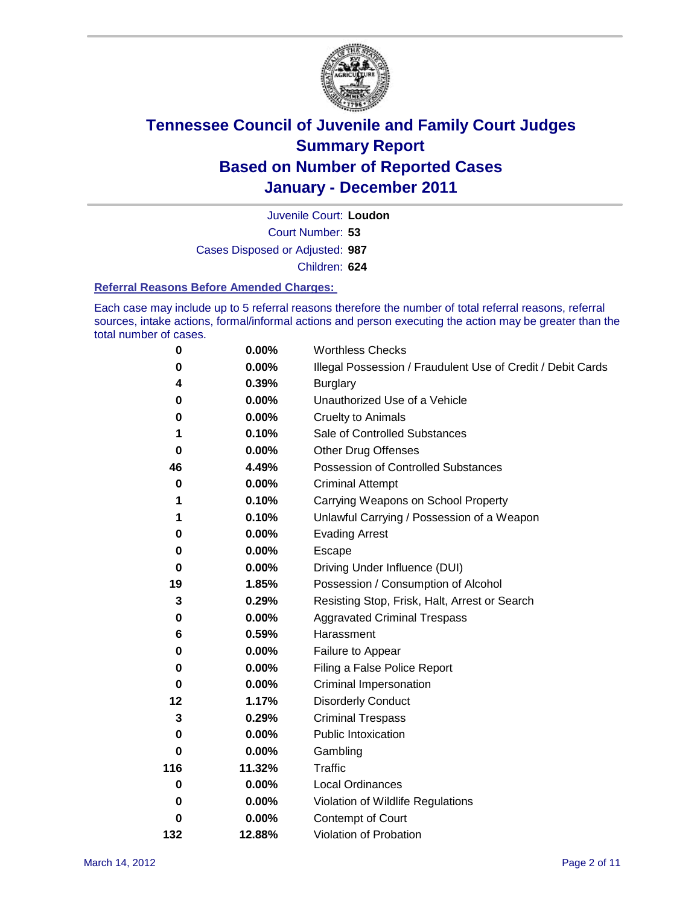

Court Number: **53** Juvenile Court: **Loudon** Cases Disposed or Adjusted: **987** Children: **624**

#### **Referral Reasons Before Amended Charges:**

Each case may include up to 5 referral reasons therefore the number of total referral reasons, referral sources, intake actions, formal/informal actions and person executing the action may be greater than the total number of cases.

| $\pmb{0}$ | 0.00%    | <b>Worthless Checks</b>                                     |
|-----------|----------|-------------------------------------------------------------|
| 0         | 0.00%    | Illegal Possession / Fraudulent Use of Credit / Debit Cards |
| 4         | 0.39%    | <b>Burglary</b>                                             |
| 0         | 0.00%    | Unauthorized Use of a Vehicle                               |
| 0         | $0.00\%$ | <b>Cruelty to Animals</b>                                   |
| 1         | 0.10%    | Sale of Controlled Substances                               |
| $\bf{0}$  | $0.00\%$ | <b>Other Drug Offenses</b>                                  |
| 46        | 4.49%    | Possession of Controlled Substances                         |
| 0         | $0.00\%$ | <b>Criminal Attempt</b>                                     |
| 1         | 0.10%    | Carrying Weapons on School Property                         |
| 1         | 0.10%    | Unlawful Carrying / Possession of a Weapon                  |
| 0         | $0.00\%$ | <b>Evading Arrest</b>                                       |
| 0         | 0.00%    | Escape                                                      |
| 0         | $0.00\%$ | Driving Under Influence (DUI)                               |
| 19        | 1.85%    | Possession / Consumption of Alcohol                         |
| 3         | 0.29%    | Resisting Stop, Frisk, Halt, Arrest or Search               |
| 0         | $0.00\%$ | <b>Aggravated Criminal Trespass</b>                         |
| 6         | 0.59%    | Harassment                                                  |
| 0         | 0.00%    | Failure to Appear                                           |
| 0         | $0.00\%$ | Filing a False Police Report                                |
| $\bf{0}$  | 0.00%    | Criminal Impersonation                                      |
| 12        | 1.17%    | <b>Disorderly Conduct</b>                                   |
| 3         | 0.29%    | <b>Criminal Trespass</b>                                    |
| $\bf{0}$  | 0.00%    | Public Intoxication                                         |
| 0         | $0.00\%$ | Gambling                                                    |
| 116       | 11.32%   | <b>Traffic</b>                                              |
| 0         | $0.00\%$ | Local Ordinances                                            |
| 0         | $0.00\%$ | Violation of Wildlife Regulations                           |
| 0         | $0.00\%$ | Contempt of Court                                           |
| 132       | 12.88%   | Violation of Probation                                      |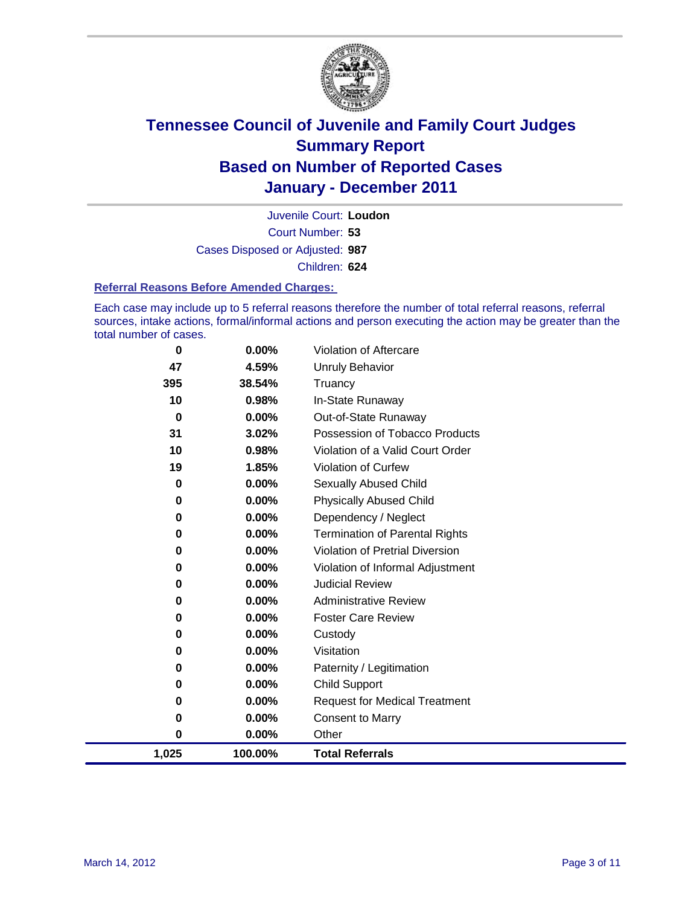

Court Number: **53** Juvenile Court: **Loudon** Cases Disposed or Adjusted: **987** Children: **624**

#### **Referral Reasons Before Amended Charges:**

Each case may include up to 5 referral reasons therefore the number of total referral reasons, referral sources, intake actions, formal/informal actions and person executing the action may be greater than the total number of cases.

| 0        | 0.00%    | Violation of Aftercare                 |
|----------|----------|----------------------------------------|
| 47       | 4.59%    | <b>Unruly Behavior</b>                 |
| 395      | 38.54%   | Truancy                                |
| 10       | 0.98%    | In-State Runaway                       |
| 0        | 0.00%    | Out-of-State Runaway                   |
| 31       | 3.02%    | Possession of Tobacco Products         |
| 10       | 0.98%    | Violation of a Valid Court Order       |
| 19       | 1.85%    | Violation of Curfew                    |
| $\bf{0}$ | $0.00\%$ | Sexually Abused Child                  |
| 0        | 0.00%    | <b>Physically Abused Child</b>         |
| 0        | 0.00%    | Dependency / Neglect                   |
| 0        | 0.00%    | <b>Termination of Parental Rights</b>  |
| 0        | 0.00%    | <b>Violation of Pretrial Diversion</b> |
| 0        | 0.00%    | Violation of Informal Adjustment       |
| 0        | $0.00\%$ | <b>Judicial Review</b>                 |
| 0        | $0.00\%$ | <b>Administrative Review</b>           |
| 0        | 0.00%    | <b>Foster Care Review</b>              |
| 0        | 0.00%    | Custody                                |
| 0        | 0.00%    | Visitation                             |
| 0        | 0.00%    | Paternity / Legitimation               |
| 0        | 0.00%    | Child Support                          |
| 0        | 0.00%    | <b>Request for Medical Treatment</b>   |
| 0        | 0.00%    | <b>Consent to Marry</b>                |
| $\bf{0}$ | 0.00%    | Other                                  |
| 1,025    | 100.00%  | <b>Total Referrals</b>                 |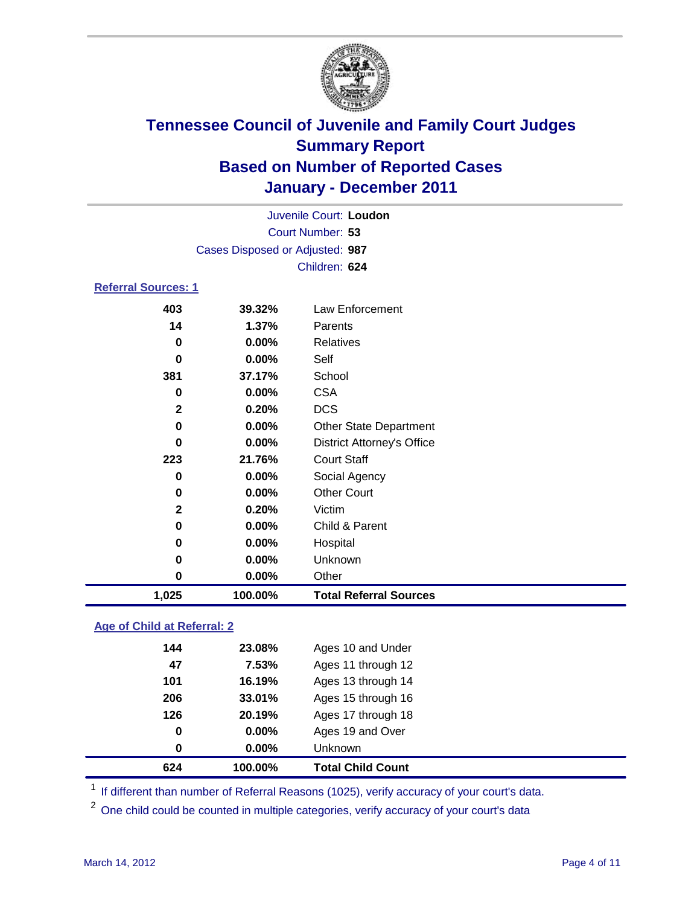

|                            | Juvenile Court: Loudon          |                                   |  |  |  |
|----------------------------|---------------------------------|-----------------------------------|--|--|--|
|                            |                                 | Court Number: 53                  |  |  |  |
|                            | Cases Disposed or Adjusted: 987 |                                   |  |  |  |
|                            |                                 | Children: 624                     |  |  |  |
| <b>Referral Sources: 1</b> |                                 |                                   |  |  |  |
| 403                        | 39.32%                          | Law Enforcement                   |  |  |  |
| 14                         | 1.37%                           | Parents                           |  |  |  |
| 0                          | 0.00%                           | <b>Relatives</b>                  |  |  |  |
| 0                          | 0.00%                           | Self                              |  |  |  |
| 381                        | 37.17%                          | School                            |  |  |  |
| 0                          | 0.00%                           | <b>CSA</b>                        |  |  |  |
| $\mathbf{2}$               | 0.20%                           | <b>DCS</b>                        |  |  |  |
| 0                          | 0.00%                           | Other State Department            |  |  |  |
| 0                          | 0.00%                           | <b>District Attorney's Office</b> |  |  |  |
| 223                        | 21.76%                          | <b>Court Staff</b>                |  |  |  |
| 0                          | 0.00%                           | Social Agency                     |  |  |  |
| 0                          | 0.00%                           | <b>Other Court</b>                |  |  |  |
| $\mathbf{2}$               | 0.20%                           | Victim                            |  |  |  |
| 0                          | 0.00%                           | Child & Parent                    |  |  |  |
| 0                          | 0.00%                           | Hospital                          |  |  |  |
| 0                          | 0.00%                           | Unknown                           |  |  |  |
| 0                          | 0.00%                           | Other                             |  |  |  |
| 1,025                      | 100.00%                         | <b>Total Referral Sources</b>     |  |  |  |
|                            |                                 |                                   |  |  |  |

### **Age of Child at Referral: 2**

| 624 | 100.00%       | <b>Total Child Count</b> |
|-----|---------------|--------------------------|
|     | 0.00%<br>0    | <b>Unknown</b>           |
|     | 0.00%<br>0    | Ages 19 and Over         |
|     | 126<br>20.19% | Ages 17 through 18       |
|     | 206<br>33.01% | Ages 15 through 16       |
| 101 | 16.19%        | Ages 13 through 14       |
|     | 47<br>7.53%   | Ages 11 through 12       |
|     | 144<br>23.08% | Ages 10 and Under        |
|     |               |                          |

<sup>1</sup> If different than number of Referral Reasons (1025), verify accuracy of your court's data.

<sup>2</sup> One child could be counted in multiple categories, verify accuracy of your court's data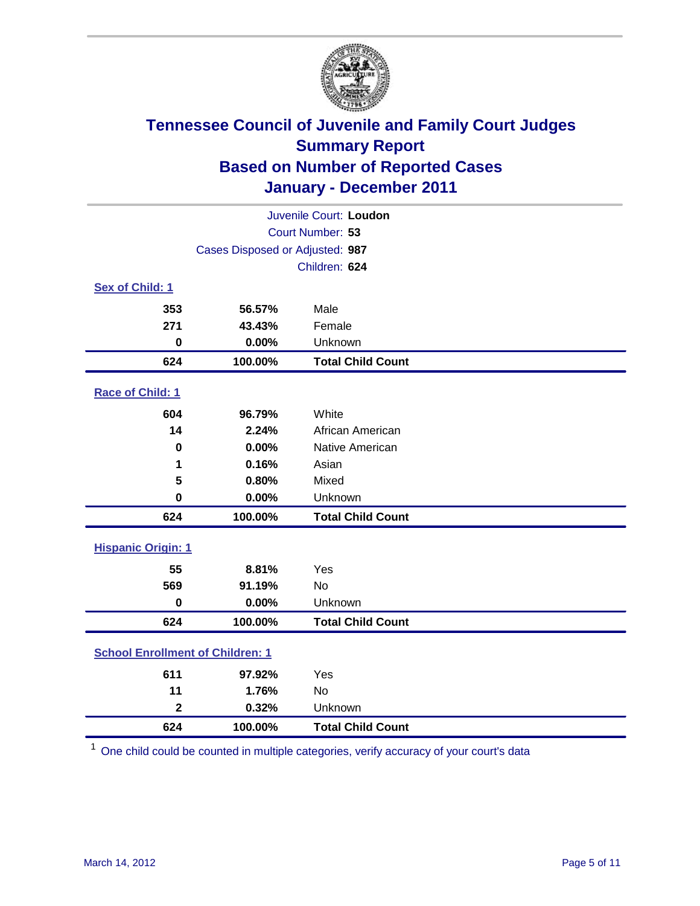

| Juvenile Court: Loudon                  |                                 |                          |  |
|-----------------------------------------|---------------------------------|--------------------------|--|
| Court Number: 53                        |                                 |                          |  |
|                                         | Cases Disposed or Adjusted: 987 |                          |  |
|                                         |                                 | Children: 624            |  |
| Sex of Child: 1                         |                                 |                          |  |
| 353                                     | 56.57%                          | Male                     |  |
| 271                                     | 43.43%                          | Female                   |  |
| $\mathbf 0$                             | 0.00%                           | Unknown                  |  |
| 624                                     | 100.00%                         | <b>Total Child Count</b> |  |
| Race of Child: 1                        |                                 |                          |  |
| 604                                     | 96.79%                          | White                    |  |
| 14                                      | 2.24%                           | African American         |  |
| $\mathbf 0$                             | 0.00%                           | Native American          |  |
| 1                                       | 0.16%                           | Asian                    |  |
| 5                                       | 0.80%                           | Mixed                    |  |
| $\mathbf 0$                             | 0.00%                           | Unknown                  |  |
| 624                                     | 100.00%                         | <b>Total Child Count</b> |  |
| <b>Hispanic Origin: 1</b>               |                                 |                          |  |
| 55                                      | 8.81%                           | Yes                      |  |
| 569                                     | 91.19%                          | <b>No</b>                |  |
| $\mathbf 0$                             | 0.00%                           | Unknown                  |  |
| 624                                     | 100.00%                         | <b>Total Child Count</b> |  |
| <b>School Enrollment of Children: 1</b> |                                 |                          |  |
| 611                                     | 97.92%                          | Yes                      |  |
| 11                                      | 1.76%                           | No                       |  |
| $\mathbf{2}$                            | 0.32%                           | Unknown                  |  |
| 624                                     | 100.00%                         | <b>Total Child Count</b> |  |

One child could be counted in multiple categories, verify accuracy of your court's data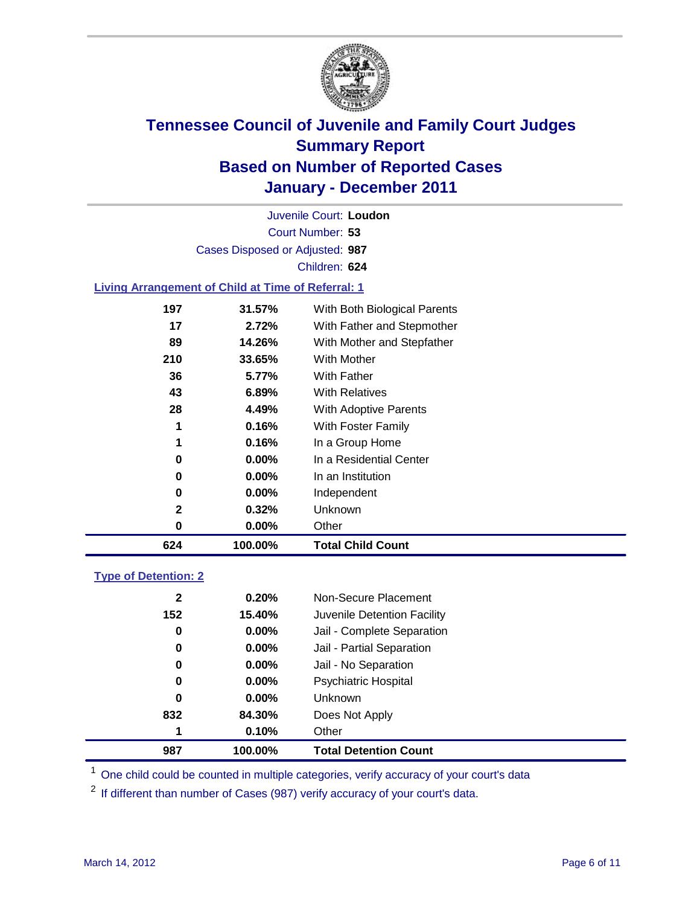

Court Number: **53** Juvenile Court: **Loudon** Cases Disposed or Adjusted: **987** Children: **624**

#### **Living Arrangement of Child at Time of Referral: 1**

| 624 | 100.00%  | <b>Total Child Count</b>     |
|-----|----------|------------------------------|
| 0   | $0.00\%$ | Other                        |
| 2   | 0.32%    | Unknown                      |
| 0   | $0.00\%$ | Independent                  |
| 0   | $0.00\%$ | In an Institution            |
| 0   | $0.00\%$ | In a Residential Center      |
| 1   | 0.16%    | In a Group Home              |
| 1   | 0.16%    | With Foster Family           |
| 28  | 4.49%    | With Adoptive Parents        |
| 43  | $6.89\%$ | <b>With Relatives</b>        |
| 36  | 5.77%    | With Father                  |
| 210 | 33.65%   | <b>With Mother</b>           |
| 89  | 14.26%   | With Mother and Stepfather   |
| 17  | 2.72%    | With Father and Stepmother   |
| 197 | 31.57%   | With Both Biological Parents |
|     |          |                              |

#### **Type of Detention: 2**

| 987          | 100.00%  | <b>Total Detention Count</b> |
|--------------|----------|------------------------------|
| 1            | 0.10%    | Other                        |
| 832          | 84.30%   | Does Not Apply               |
| $\mathbf 0$  | $0.00\%$ | Unknown                      |
| 0            | $0.00\%$ | Psychiatric Hospital         |
| 0            | 0.00%    | Jail - No Separation         |
| 0            | $0.00\%$ | Jail - Partial Separation    |
| 0            | $0.00\%$ | Jail - Complete Separation   |
| 152          | 15.40%   | Juvenile Detention Facility  |
| $\mathbf{2}$ | 0.20%    | Non-Secure Placement         |
|              |          |                              |

<sup>1</sup> One child could be counted in multiple categories, verify accuracy of your court's data

<sup>2</sup> If different than number of Cases (987) verify accuracy of your court's data.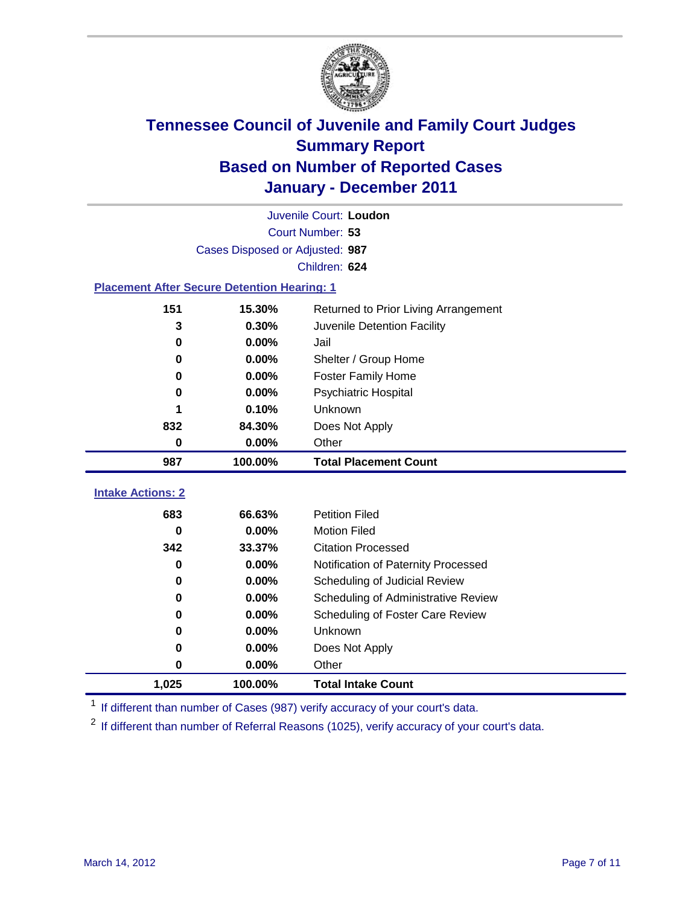

|                                                    | Juvenile Court: Loudon          |                                      |  |  |  |
|----------------------------------------------------|---------------------------------|--------------------------------------|--|--|--|
|                                                    | Court Number: 53                |                                      |  |  |  |
|                                                    | Cases Disposed or Adjusted: 987 |                                      |  |  |  |
|                                                    |                                 | Children: 624                        |  |  |  |
| <b>Placement After Secure Detention Hearing: 1</b> |                                 |                                      |  |  |  |
| 151                                                | 15.30%                          | Returned to Prior Living Arrangement |  |  |  |
| 3                                                  | 0.30%                           | Juvenile Detention Facility          |  |  |  |
| $\bf{0}$                                           | 0.00%                           | Jail                                 |  |  |  |
| 0                                                  | 0.00%                           | Shelter / Group Home                 |  |  |  |
| $\bf{0}$                                           | 0.00%                           | Foster Family Home                   |  |  |  |
| 0                                                  | 0.00%                           | Psychiatric Hospital                 |  |  |  |
|                                                    | 0.10%                           | Unknown                              |  |  |  |
| 832                                                | 84.30%                          | Does Not Apply                       |  |  |  |
| $\bf{0}$                                           | 0.00%                           | Other                                |  |  |  |
| 987                                                | 100.00%                         | <b>Total Placement Count</b>         |  |  |  |
| <b>Intake Actions: 2</b>                           |                                 |                                      |  |  |  |
|                                                    |                                 |                                      |  |  |  |
| 683                                                | 66.63%                          | <b>Petition Filed</b>                |  |  |  |
| $\bf{0}$                                           | 0.00%                           | <b>Motion Filed</b>                  |  |  |  |
| 342                                                | 33.37%                          | <b>Citation Processed</b>            |  |  |  |
| $\bf{0}$                                           | 0.00%                           | Notification of Paternity Processed  |  |  |  |
| $\bf{0}$                                           | 0.00%                           | Scheduling of Judicial Review        |  |  |  |
| 0                                                  | 0.00%                           | Scheduling of Administrative Review  |  |  |  |
| 0                                                  | 0.00%                           | Scheduling of Foster Care Review     |  |  |  |
| 0                                                  | 0.00%                           | <b>Unknown</b>                       |  |  |  |
| 0                                                  | 0.00%                           | Does Not Apply                       |  |  |  |
| 0                                                  | 0.00%                           | Other                                |  |  |  |
| 1,025                                              | 100.00%                         | <b>Total Intake Count</b>            |  |  |  |

<sup>1</sup> If different than number of Cases (987) verify accuracy of your court's data.

<sup>2</sup> If different than number of Referral Reasons (1025), verify accuracy of your court's data.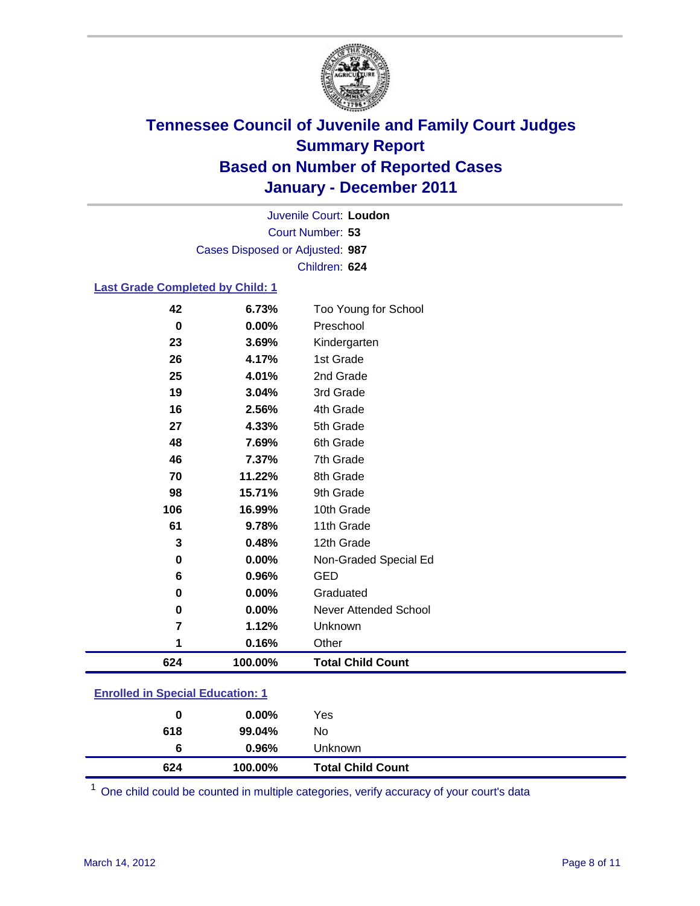

Court Number: **53** Juvenile Court: **Loudon** Cases Disposed or Adjusted: **987** Children: **624**

#### **Last Grade Completed by Child: 1**

| 624     | 100.00%        | <b>Total Child Count</b>  |
|---------|----------------|---------------------------|
| 1       | 0.16%          | Other                     |
| 7       | 1.12%          | Unknown                   |
| 0       | 0.00%          | Never Attended School     |
| 0       | 0.00%          | Graduated                 |
|         | 0.96%          |                           |
| 6       |                | <b>GED</b>                |
| 0       | 0.00%          | Non-Graded Special Ed     |
| 3       | 0.48%          | 12th Grade                |
| 61      | 9.78%          | 11th Grade                |
| 106     | 16.99%         | 10th Grade                |
| 98      | 15.71%         | 9th Grade                 |
| 70      | 11.22%         | 8th Grade                 |
| 46      | 7.37%          | 7th Grade                 |
| 48      | 7.69%          | 6th Grade                 |
| 27      | 4.33%          | 5th Grade                 |
| 16      | 2.56%          | 4th Grade                 |
| 19      | 3.04%          | 3rd Grade                 |
| 25      | 4.01%          | 2nd Grade                 |
| 26      | 4.17%          | Kindergarten<br>1st Grade |
| 0<br>23 | 0.00%<br>3.69% | Preschool                 |
|         |                |                           |
| 42      | 6.73%          | Too Young for School      |

### **Enrolled in Special Education: 1**

| 618 | 99.04%  | No.                      |  |
|-----|---------|--------------------------|--|
| 6   | 0.96%   | <b>Unknown</b>           |  |
| 624 | 100.00% | <b>Total Child Count</b> |  |

One child could be counted in multiple categories, verify accuracy of your court's data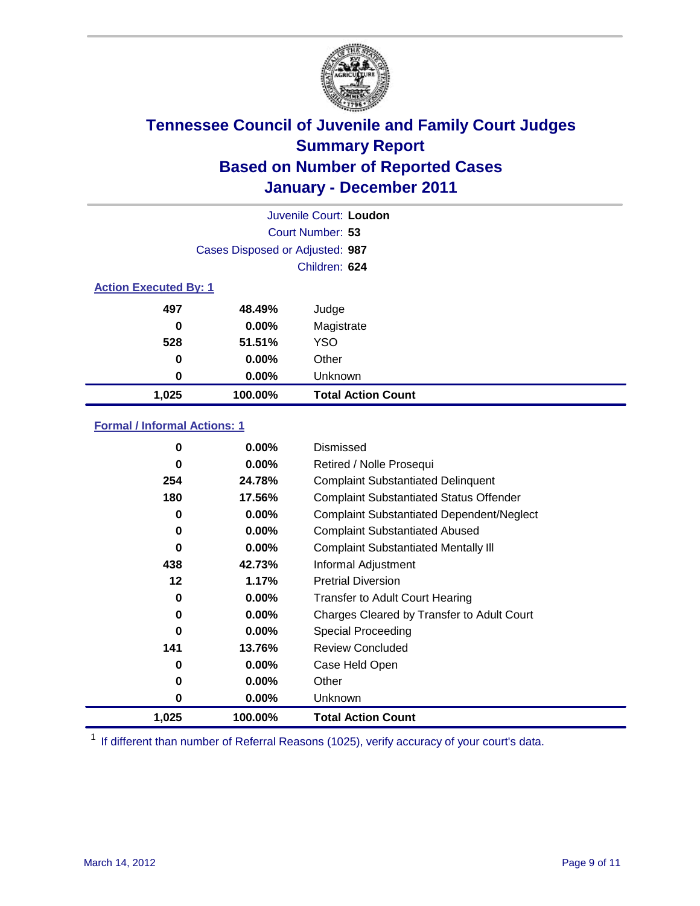

|                              | Juvenile Court: Loudon          |                           |  |  |
|------------------------------|---------------------------------|---------------------------|--|--|
|                              | Court Number: 53                |                           |  |  |
|                              | Cases Disposed or Adjusted: 987 |                           |  |  |
|                              | Children: 624                   |                           |  |  |
| <b>Action Executed By: 1</b> |                                 |                           |  |  |
| 497                          | 48.49%                          | Judge                     |  |  |
| 0                            | $0.00\%$                        | Magistrate                |  |  |
| 528                          | 51.51%                          | <b>YSO</b>                |  |  |
| 0                            | 0.00%                           | Other                     |  |  |
| 0                            | 0.00%                           | Unknown                   |  |  |
| 1,025                        | 100.00%                         | <b>Total Action Count</b> |  |  |

#### **Formal / Informal Actions: 1**

| 0        | $0.00\%$ | Dismissed                                        |
|----------|----------|--------------------------------------------------|
| 0        | $0.00\%$ | Retired / Nolle Prosequi                         |
| 254      | 24.78%   | <b>Complaint Substantiated Delinquent</b>        |
| 180      | 17.56%   | <b>Complaint Substantiated Status Offender</b>   |
| 0        | 0.00%    | <b>Complaint Substantiated Dependent/Neglect</b> |
| 0        | $0.00\%$ | <b>Complaint Substantiated Abused</b>            |
| $\bf{0}$ | $0.00\%$ | <b>Complaint Substantiated Mentally III</b>      |
| 438      | 42.73%   | Informal Adjustment                              |
| 12       | 1.17%    | <b>Pretrial Diversion</b>                        |
| 0        | $0.00\%$ | <b>Transfer to Adult Court Hearing</b>           |
| 0        | $0.00\%$ | Charges Cleared by Transfer to Adult Court       |
| 0        | $0.00\%$ | <b>Special Proceeding</b>                        |
| 141      | 13.76%   | <b>Review Concluded</b>                          |
| 0        | $0.00\%$ | Case Held Open                                   |
| 0        | $0.00\%$ | Other                                            |
| 0        | $0.00\%$ | Unknown                                          |
| 1,025    | 100.00%  | <b>Total Action Count</b>                        |

<sup>1</sup> If different than number of Referral Reasons (1025), verify accuracy of your court's data.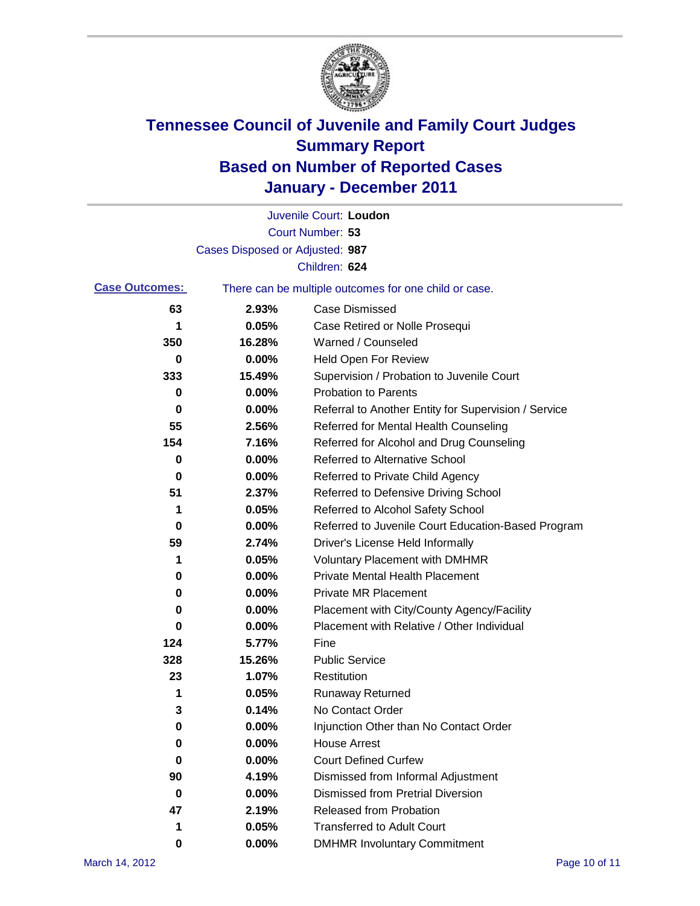

|                       |                                 | Juvenile Court: Loudon                                |
|-----------------------|---------------------------------|-------------------------------------------------------|
|                       |                                 | Court Number: 53                                      |
|                       | Cases Disposed or Adjusted: 987 |                                                       |
|                       |                                 | Children: 624                                         |
| <b>Case Outcomes:</b> |                                 | There can be multiple outcomes for one child or case. |
| 63                    | 2.93%                           | <b>Case Dismissed</b>                                 |
| 1                     | 0.05%                           | Case Retired or Nolle Prosequi                        |
| 350                   | 16.28%                          | Warned / Counseled                                    |
| 0                     | 0.00%                           | <b>Held Open For Review</b>                           |
| 333                   | 15.49%                          | Supervision / Probation to Juvenile Court             |
| 0                     | 0.00%                           | <b>Probation to Parents</b>                           |
| 0                     | 0.00%                           | Referral to Another Entity for Supervision / Service  |
| 55                    | 2.56%                           | Referred for Mental Health Counseling                 |
| 154                   | 7.16%                           | Referred for Alcohol and Drug Counseling              |
| 0                     | 0.00%                           | Referred to Alternative School                        |
| 0                     | 0.00%                           | Referred to Private Child Agency                      |
| 51                    | 2.37%                           | Referred to Defensive Driving School                  |
| 1                     | 0.05%                           | Referred to Alcohol Safety School                     |
| 0                     | 0.00%                           | Referred to Juvenile Court Education-Based Program    |
| 59                    | 2.74%                           | Driver's License Held Informally                      |
| 1                     | 0.05%                           | <b>Voluntary Placement with DMHMR</b>                 |
| 0                     | 0.00%                           | <b>Private Mental Health Placement</b>                |
| 0                     | 0.00%                           | <b>Private MR Placement</b>                           |
| 0                     | 0.00%                           | Placement with City/County Agency/Facility            |
| 0                     | 0.00%                           | Placement with Relative / Other Individual            |
| 124                   | 5.77%                           | Fine                                                  |
| 328                   | 15.26%                          | <b>Public Service</b>                                 |
| 23                    | 1.07%                           | Restitution                                           |
| 1                     | 0.05%                           | <b>Runaway Returned</b>                               |
| 3                     | 0.14%                           | No Contact Order                                      |
| 0                     | 0.00%                           | Injunction Other than No Contact Order                |
| 0                     | 0.00%                           | <b>House Arrest</b>                                   |
| 0                     | 0.00%                           | <b>Court Defined Curfew</b>                           |
| 90                    | 4.19%                           | Dismissed from Informal Adjustment                    |
| 0                     | 0.00%                           | <b>Dismissed from Pretrial Diversion</b>              |
| 47                    | 2.19%                           | Released from Probation                               |
| 1                     | 0.05%                           | <b>Transferred to Adult Court</b>                     |
| 0                     | $0.00\%$                        | <b>DMHMR Involuntary Commitment</b>                   |